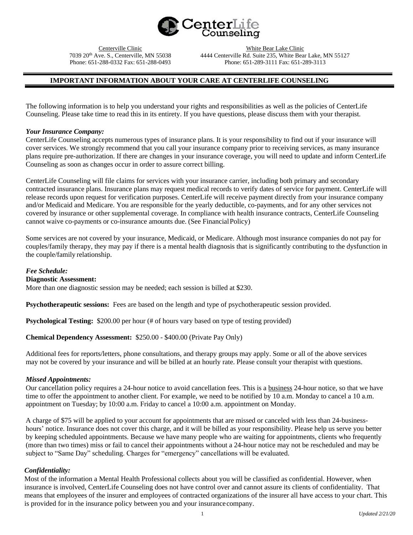

Centerville Clinic 7039 20th Ave. S., Centerville, MN 55038 Phone: 651-288-0332 Fax: 651-288-0493

White Bear Lake Clinic 4444 Centerville Rd. Suite 235, White Bear Lake, MN 55127 Phone: 651-289-3111 Fax: 651-289-3113

# **IMPORTANT INFORMATION ABOUT YOUR CARE AT CENTERLIFE COUNSELING**

The following information is to help you understand your rights and responsibilities as well as the policies of CenterLife Counseling. Please take time to read this in its entirety. If you have questions, please discuss them with your therapist.

#### *Your Insurance Company:*

CenterLife Counseling accepts numerous types of insurance plans. It is your responsibility to find out if your insurance will cover services. We strongly recommend that you call your insurance company prior to receiving services, as many insurance plans require pre-authorization. If there are changes in your insurance coverage, you will need to update and inform CenterLife Counseling as soon as changes occur in order to assure correct billing.

CenterLife Counseling will file claims for services with your insurance carrier, including both primary and secondary contracted insurance plans. Insurance plans may request medical records to verify dates of service for payment. CenterLife will release records upon request for verification purposes. CenterLife will receive payment directly from your insurance company and/or Medicaid and Medicare. You are responsible for the yearly deductible, co-payments, and for any other services not covered by insurance or other supplemental coverage. In compliance with health insurance contracts, CenterLife Counseling cannot waive co-payments or co-insurance amounts due. (See FinancialPolicy)

Some services are not covered by your insurance, Medicaid, or Medicare. Although most insurance companies do not pay for couples/family therapy, they may pay if there is a mental health diagnosis that is significantly contributing to the dysfunction in the couple/family relationship.

#### *Fee Schedule:*

#### **Diagnostic Assessment:**

More than one diagnostic session may be needed; each session is billed at \$230.

**Psychotherapeutic sessions:** Fees are based on the length and type of psychotherapeutic session provided.

**Psychological Testing:**  $$200.00$  per hour (# of hours vary based on type of testing provided)

#### **Chemical Dependency Assessment:** \$250.00 - \$400.00 (Private Pay Only)

Additional fees for reports/letters, phone consultations, and therapy groups may apply. Some or all of the above services may not be covered by your insurance and will be billed at an hourly rate. Please consult your therapist with questions.

#### *Missed Appointments:*

Our cancellation policy requires a 24-hour notice to avoid cancellation fees. This is a business 24-hour notice, so that we have time to offer the appointment to another client. For example, we need to be notified by 10 a.m. Monday to cancel a 10 a.m. appointment on Tuesday; by 10:00 a.m. Friday to cancel a 10:00 a.m. appointment on Monday.

A charge of \$75 will be applied to your account for appointments that are missed or canceled with less than 24-businesshours' notice. Insurance does not cover this charge, and it will be billed as your responsibility. Please help us serve you better by keeping scheduled appointments. Because we have many people who are waiting for appointments, clients who frequently (more than two times) miss or fail to cancel their appointments without a 24-hour notice may not be rescheduled and may be subject to "Same Day" scheduling. Charges for "emergency" cancellations will be evaluated.

#### *Confidentiality:*

Most of the information a Mental Health Professional collects about you will be classified as confidential. However, when insurance is involved, CenterLife Counseling does not have control over and cannot assure its clients of confidentiality. That means that employees of the insurer and employees of contracted organizations of the insurer all have access to your chart. This is provided for in the insurance policy between you and your insurancecompany.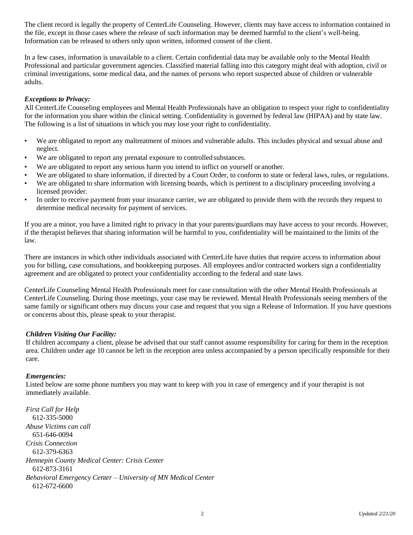The client record is legally the property of CenterLife Counseling. However, clients may have access to information contained in the file, except in those cases where the release of such information may be deemed harmful to the client's well-being. Information can be released to others only upon written, informed consent of the client.

In a few cases, information is unavailable to a client. Certain confidential data may be available only to the Mental Health Professional and particular government agencies. Classified material falling into this category might deal with adoption, civil or criminal investigations, some medical data, and the names of persons who report suspected abuse of children or vulnerable adults.

## *Exceptions to Privacy:*

All CenterLife Counseling employees and Mental Health Professionals have an obligation to respect your right to confidentiality for the information you share within the clinical setting. Confidentiality is governed by federal law (HIPAA) and by state law. The following is a list of situations in which you may lose your right to confidentiality.

- We are obligated to report any maltreatment of minors and vulnerable adults. This includes physical and sexual abuse and neglect.
- We are obligated to report any prenatal exposure to controlled substances.
- We are obligated to report any serious harm you intend to inflict on yourself or another.
- We are obligated to share information, if directed by a Court Order, to conform to state or federal laws, rules, or regulations.
- We are obligated to share information with licensing boards, which is pertinent to a disciplinary proceeding involving a licensed provider.
- In order to receive payment from your insurance carrier, we are obligated to provide them with the records they request to determine medical necessity for payment of services.

If you are a minor, you have a limited right to privacy in that your parents/guardians may have access to your records. However, if the therapist believes that sharing information will be harmful to you, confidentiality will be maintained to the limits of the law.

There are instances in which other individuals associated with CenterLife have duties that require access to information about you for billing, case consultations, and bookkeeping purposes. All employees and/or contracted workers sign a confidentiality agreement and are obligated to protect your confidentiality according to the federal and state laws.

CenterLife Counseling Mental Health Professionals meet for case consultation with the other Mental Health Professionals at CenterLife Counseling. During those meetings, your case may be reviewed. Mental Health Professionals seeing members of the same family or significant others may discuss your case and request that you sign a Release of Information. If you have questions or concerns about this, please speak to your therapist.

## *Children Visiting Our Facility:*

If children accompany a client, please be advised that our staff cannot assume responsibility for caring for them in the reception area. Children under age 10 cannot be left in the reception area unless accompanied by a person specifically responsible for their care.

## *Emergencies:*

Listed below are some phone numbers you may want to keep with you in case of emergency and if your therapist is not immediately available.

*First Call for Help* 612-335-5000 *Abuse Victims can call* 651-646-0094 *Crisis Connection* 612-379-6363 *Hennepin County Medical Center: Crisis Center* 612-873-3161 *Behavioral Emergency Center – University of MN Medical Center* 612-672-6600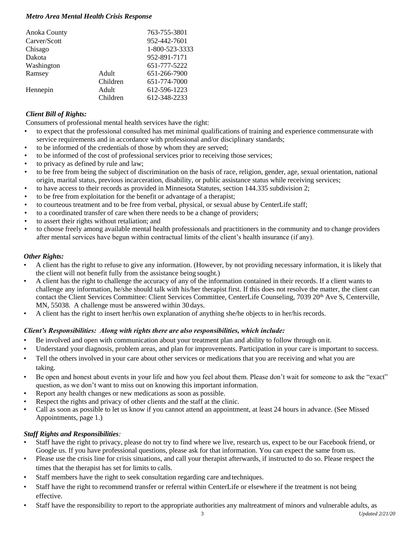## *Metro Area Mental Health Crisis Response*

| Anoka County |          | 763-755-3801   |
|--------------|----------|----------------|
| Carver/Scott |          | 952-442-7601   |
| Chisago      |          | 1-800-523-3333 |
| Dakota       |          | 952-891-7171   |
| Washington   |          | 651-777-5222   |
| Ramsey       | Adult    | 651-266-7900   |
|              | Children | 651-774-7000   |
| Hennepin     | Adult    | 612-596-1223   |
|              | Children | 612-348-2233   |

## *Client Bill of Rights:*

Consumers of professional mental health services have the right:

- to expect that the professional consulted has met minimal qualifications of training and experience commensurate with service requirements and in accordance with professional and/or disciplinary standards;
- to be informed of the credentials of those by whom they are served;
- to be informed of the cost of professional services prior to receiving those services;
- to privacy as defined by rule and law;
- to be free from being the subject of discrimination on the basis of race, religion, gender, age, sexual orientation, national origin, marital status, previous incarceration, disability, or public assistance status while receiving services;
- to have access to their records as provided in Minnesota Statutes, section 144.335 subdivision 2;
- to be free from exploitation for the benefit or advantage of a therapist;
- to courteous treatment and to be free from verbal, physical, or sexual abuse by CenterLife staff;
- to a coordinated transfer of care when there needs to be a change of providers;
- to assert their rights without retaliation; and
- to choose freely among available mental health professionals and practitioners in the community and to change providers after mental services have begun within contractual limits of the client's health insurance (if any).

#### *Other Rights:*

- A client has the right to refuse to give any information. (However, by not providing necessary information, it is likely that the client will not benefit fully from the assistance being sought.)
- A client has the right to challenge the accuracy of any of the information contained in their records. If a client wants to challenge any information, he/she should talk with his/her therapist first. If this does not resolve the matter, the client can contact the Client Services Committee: Client Services Committee, CenterLife Counseling, 7039 20<sup>th</sup> Ave S, Centerville, MN, 55038. A challenge must be answered within 30 days.
- A client has the right to insert her/his own explanation of anything she/he objects to in her/his records.

## *Client's Responsibilities: Along with rights there are also responsibilities, which include:*

- Be involved and open with communication about your treatment plan and ability to follow through on it.
- Understand your diagnosis, problem areas, and plan for improvements. Participation in your care is important to success.
- Tell the others involved in your care about other services or medications that you are receiving and what you are taking.
- Be open and honest about events in your life and how you feel about them. Please don't wait for someone to ask the "exact" question, as we don't want to miss out on knowing this important information.
- Report any health changes or new medications as soon as possible.
- Respect the rights and privacy of other clients and the staff at the clinic.
- Call as soon as possible to let us know if you cannot attend an appointment, at least 24 hours in advance. (See Missed Appointments, page 1.)

## *Staff Rights and Responsibilities:*

- Staff have the right to privacy, please do not try to find where we live, research us, expect to be our Facebook friend, or Google us. If you have professional questions, please ask for that information. You can expect the same from us.
- Please use the crisis line for crisis situations, and call your therapist afterwards, if instructed to do so. Please respect the times that the therapist has set for limits to calls.
- Staff members have the right to seek consultation regarding care and techniques.
- Staff have the right to recommend transfer or referral within CenterLife or elsewhere if the treatment is not being effective.
- Staff have the responsibility to report to the appropriate authorities any maltreatment of minors and vulnerable adults, as